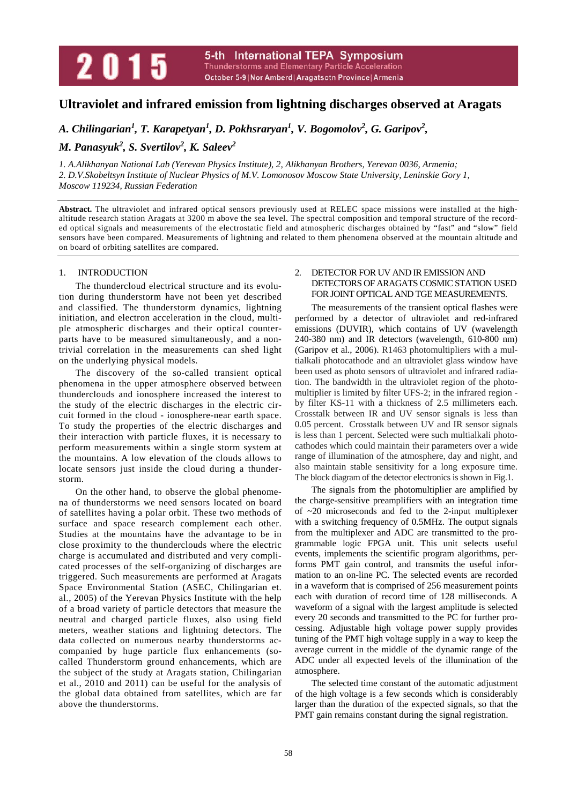# **Ultraviolet and infrared emission from lightning discharges observed at Aragats**

A. Chilingarian<sup>1</sup>, T. Karapetyan<sup>1</sup>, D. Pokhsraryan<sup>1</sup>, V. Bogomolov<sup>2</sup>, G. Garipov<sup>2</sup>,

*M. Panasyuk<sup>2</sup>, S. Svertilov<sup>2</sup>, K. Saleev<sup>2</sup>* 

*1. A.Alikhanyan National Lab (Yerevan Physics Institute), 2, Alikhanyan Brothers, Yerevan 0036, Armenia; 2. D.V.Skobeltsyn Institute of Nuclear Physics of M.V. Lomonosov Moscow State University, Leninskie Gory 1, Moscow 119234, Russian Federation* 

**Abstract.** The ultraviolet and infrared optical sensors previously used at RELEC space missions were installed at the highaltitude research station Aragats at 3200 m above the sea level. The spectral composition and temporal structure of the recorded optical signals and measurements of the electrostatic field and atmospheric discharges obtained by "fast" and "slow" field sensors have been compared. Measurements of lightning and related to them phenomena observed at the mountain altitude and on board of orbiting satellites are compared.

# 1. INTRODUCTION

The thundercloud electrical structure and its evolution during thunderstorm have not been yet described and classified. The thunderstorm dynamics, lightning initiation, and electron acceleration in the cloud, multiple atmospheric discharges and their optical counterparts have to be measured simultaneously, and a nontrivial correlation in the measurements can shed light on the underlying physical models.

The discovery of the so-called transient optical phenomena in the upper atmosphere observed between thunderclouds and ionosphere increased the interest to the study of the electric discharges in the electric circuit formed in the cloud - ionosphere-near earth space. To study the properties of the electric discharges and their interaction with particle fluxes, it is necessary to perform measurements within a single storm system at the mountains. A low elevation of the clouds allows to locate sensors just inside the cloud during a thunderstorm.

On the other hand, to observe the global phenomena of thunderstorms we need sensors located on board of satellites having a polar orbit. These two methods of surface and space research complement each other. Studies at the mountains have the advantage to be in close proximity to the thunderclouds where the electric charge is accumulated and distributed and very complicated processes of the self-organizing of discharges are triggered. Such measurements are performed at Aragats Space Environmental Station (ASEC, Chilingarian et. al., 2005) of the Yerevan Physics Institute with the help of a broad variety of particle detectors that measure the neutral and charged particle fluxes, also using field meters, weather stations and lightning detectors. The data collected on numerous nearby thunderstorms accompanied by huge particle flux enhancements (socalled Thunderstorm ground enhancements, which are the subject of the study at Aragats station, Chilingarian et al., 2010 and 2011) can be useful for the analysis of the global data obtained from satellites, which are far above the thunderstorms.

# 2. DETECTOR FOR UV AND IR EMISSION AND DETECTORS OF ARAGATS COSMIC STATION USED FOR JOINT OPTICAL AND TGE MEASUREMENTS.

The measurements of the transient optical flashes were performed by a detector of ultraviolet and red-infrared emissions (DUVIR), which contains of UV (wavelength 240-380 nm) and IR detectors (wavelength, 610-800 nm) (Garipov et al., 2006). R1463 photomultipliers with a multialkali photocathode and an ultraviolet glass window have been used as photo sensors of ultraviolet and infrared radiation. The bandwidth in the ultraviolet region of the photomultiplier is limited by filter UFS-2; in the infrared region by filter KS-11 with a thickness of 2.5 millimeters each. Crosstalk between IR and UV sensor signals is less than 0.05 percent. Crosstalk between UV and IR sensor signals is less than 1 percent. Selected were such multialkali photocathodes which could maintain their parameters over a wide range of illumination of the atmosphere, day and night, and also maintain stable sensitivity for a long exposure time. The block diagram of the detector electronics is shown in Fig.1.

The signals from the photomultiplier are amplified by the charge-sensitive preamplifiers with an integration time of ~20 microseconds and fed to the 2-input multiplexer with a switching frequency of 0.5MHz. The output signals from the multiplexer and ADC are transmitted to the programmable logic FPGA unit. This unit selects useful events, implements the scientific program algorithms, performs PMT gain control, and transmits the useful information to an on-line PC. The selected events are recorded in a waveform that is comprised of 256 measurement points each with duration of record time of 128 milliseconds. A waveform of a signal with the largest amplitude is selected every 20 seconds and transmitted to the PC for further processing. Adjustable high voltage power supply provides tuning of the PMT high voltage supply in a way to keep the average current in the middle of the dynamic range of the ADC under all expected levels of the illumination of the atmosphere.

The selected time constant of the automatic adjustment of the high voltage is a few seconds which is considerably larger than the duration of the expected signals, so that the PMT gain remains constant during the signal registration.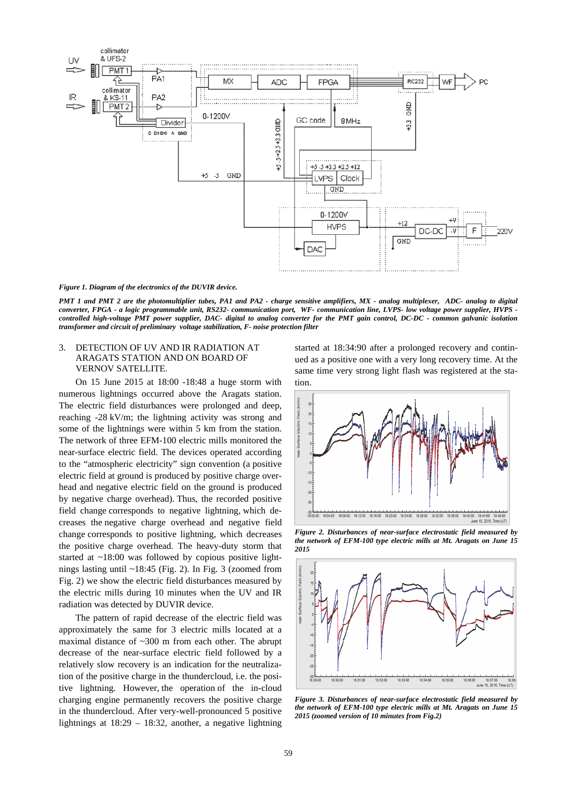

#### *Figure 1. Diagram of the electronics of the DUVIR device.*

*PMT 1 and PMT 2 are the photomultiplier tubes, PA1 and PA2 - charge sensitive amplifiers, MX - analog multiplexer, ADC- analog to digital converter, FPGA - a logic programmable unit, RS232- communication port, WF- communication line, LVPS- low voltage power supplier, HVPS controlled high-voltage PMT power supplier, DAC- digital to analog converter for the PMT gain control, DC-DC - common galvanic isolation transformer and circuit of preliminary voltage stabilization, F- noise protection filter* 

## 3. DETECTION OF UV AND IR RADIATION AT ARAGATS STATION AND ON BOARD OF VERNOV SATELLITE.

On 15 June 2015 at 18:00 -18:48 a huge storm with numerous lightnings occurred above the Aragats station. The electric field disturbances were prolonged and deep, reaching -28 kV/m; the lightning activity was strong and some of the lightnings were within 5 km from the station. The network of three EFM-100 electric mills monitored the near-surface electric field. The devices operated according to the "atmospheric electricity" sign convention (a positive electric field at ground is produced by positive charge overhead and negative electric field on the ground is produced by negative charge overhead). Thus, the recorded positive field change corresponds to negative lightning, which decreases the negative charge overhead and negative field change corresponds to positive lightning, which decreases the positive charge overhead. The heavy-duty storm that started at ~18:00 was followed by copious positive lightnings lasting until ~18:45 (Fig. 2). In Fig. 3 (zoomed from Fig. 2) we show the electric field disturbances measured by the electric mills during 10 minutes when the UV and IR radiation was detected by DUVIR device.

The pattern of rapid decrease of the electric field was approximately the same for 3 electric mills located at a maximal distance of ~300 m from each other. The abrupt decrease of the near-surface electric field followed by a relatively slow recovery is an indication for the neutralization of the positive charge in the thundercloud, i.e. the positive lightning. However, the operation of the in-cloud charging engine permanently recovers the positive charge in the thundercloud. After very-well-pronounced 5 positive lightnings at 18:29 – 18:32, another, a negative lightning

started at 18:34:90 after a prolonged recovery and continued as a positive one with a very long recovery time. At the same time very strong light flash was registered at the station.



*Figure 2. Disturbances of near-surface electrostatic field measured by the network of EFM-100 type electric mills at Mt. Aragats on June 15 2015* 



*Figure 3. Disturbances of near-surface electrostatic field measured by the network of EFM-100 type electric mills at Mt. Aragats on June 15 2015 (zoomed version of 10 minutes from Fig.2)*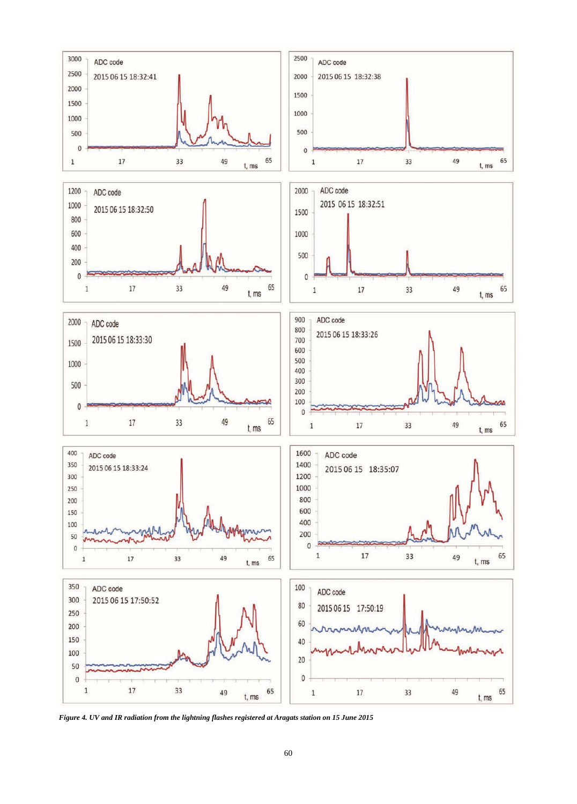

*Figure 4. UV and IR radiation from the lightning flashes registered at Aragats station on 15 June 2015*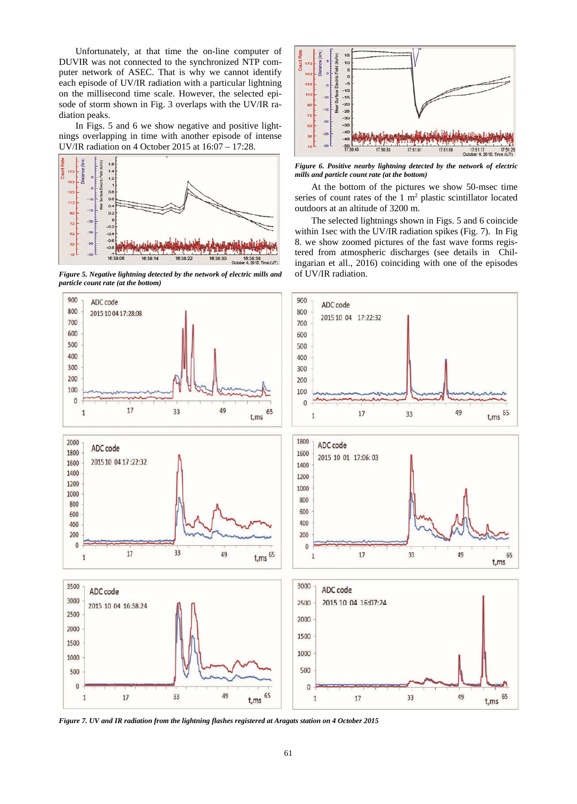Unfortunately, at that time the on-line computer of DUVIR was not connected to the synchronized NTP computer network of ASEC. That is why we cannot identify each episode of UV/IR radiation with a particular lightning on the millisecond time scale. However, the selected episode of storm shown in Fig. 3 overlaps with the UV/IR radiation peaks.

In Figs. 5 and 6 we show negative and positive lightnings overlapping in time with another episode of intense UV/IR radiation on 4 October 2015 at 16:07 – 17:28.



*Figure 5. Negative lightning detected by the network of electric mills and particle count rate (at the bottom)* 



*Figure 6. Positive nearby lightning detected by the network of electric mills and particle count rate (at the bottom)* 

At the bottom of the pictures we show 50-msec time series of count rates of the  $1 \text{ m}^2$  plastic scintillator located outdoors at an altitude of 3200 m.

The selected lightnings shown in Figs. 5 and 6 coincide within 1sec with the UV/IR radiation spikes (Fig. 7). In Fig 8. we show zoomed pictures of the fast wave forms registered from atmospheric discharges (see details in Chilingarian et all., 2016) coinciding with one of the episodes of UV/IR radiation.



*Figure 7. UV and IR radiation from the lightning flashes registered at Aragats station on 4 October 2015*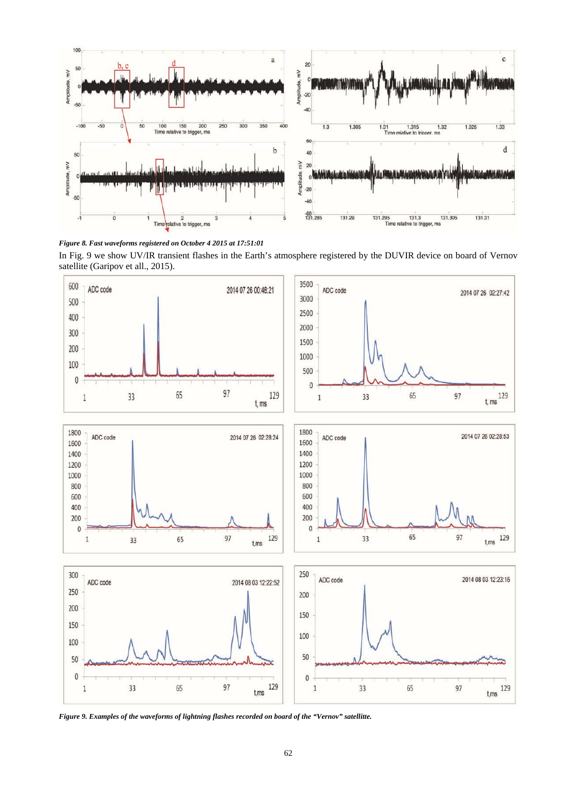

*Figure 8. Fast waveforms registered on October 4 2015 at 17:51:01* 

In Fig. 9 we show UV/IR transient flashes in the Earth's atmosphere registered by the DUVIR device on board of Vernov satellite (Garipov et all., 2015).



*Figure 9. Examples of the waveforms of lightning flashes recorded on board of the "Vernov" satellitte.*